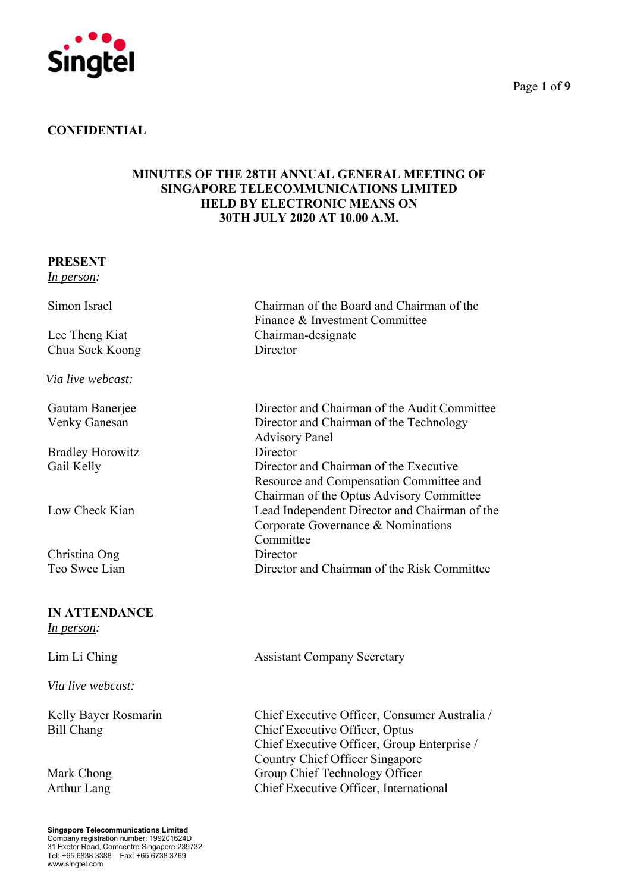

# **CONFIDENTIAL**

# **MINUTES OF THE 28TH ANNUAL GENERAL MEETING OF SINGAPORE TELECOMMUNICATIONS LIMITED HELD BY ELECTRONIC MEANS ON 30TH JULY 2020 AT 10.00 A.M.**

### **PRESENT**

*In person:* 

Chua Sock Koong Director

*Via live webcast:* 

Bradley Horowitz Director

Christina Ong Director

# **IN ATTENDANCE**

*In person:* 

*Via live webcast:*

Kelly Bayer Rosmarin Bill Chang

**Singapore Telecommunications Limited** Company registration number: 199201624D 31 Exeter Road, Comcentre Singapore 239732 Tel: +65 6838 3388 Fax: +65 6738 3769 www.singtel.com

Simon Israel Chairman of the Board and Chairman of the Finance & Investment Committee Lee Theng Kiat Chairman-designate

Gautam Banerjee Director and Chairman of the Audit Committee Venky Ganesan Director and Chairman of the Technology Advisory Panel Gail Kelly **Director and Chairman of the Executive** Resource and Compensation Committee and Chairman of the Optus Advisory Committee Low Check Kian Lead Independent Director and Chairman of the Corporate Governance & Nominations Committee Teo Swee Lian Director and Chairman of the Risk Committee

Lim Li Ching Assistant Company Secretary

Chief Executive Officer, Consumer Australia / Chief Executive Officer, Optus Chief Executive Officer, Group Enterprise / Country Chief Officer Singapore Mark Chong Group Chief Technology Officer Arthur Lang Chief Executive Officer, International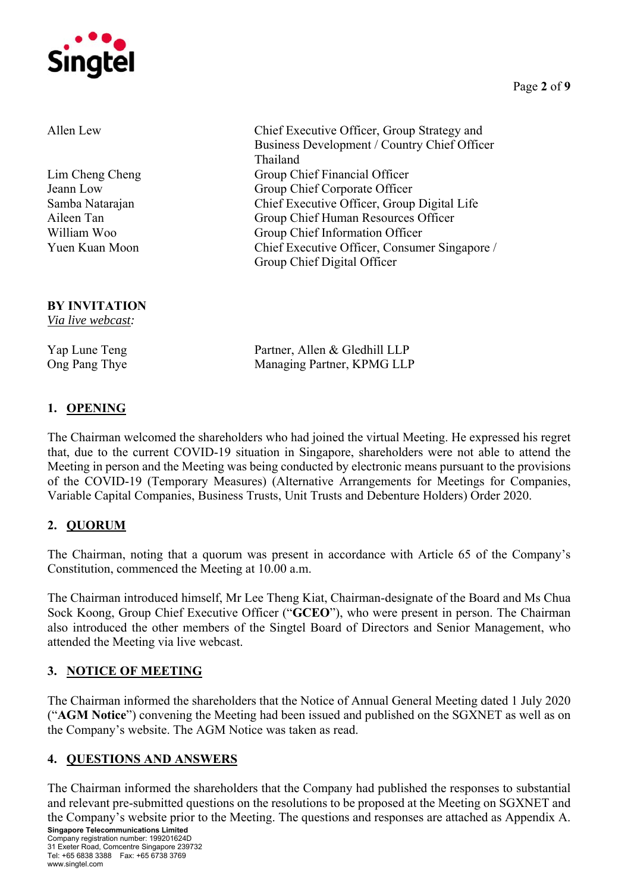

Allen Lew Chief Executive Officer, Group Strategy and Business Development / Country Chief Officer Thailand Lim Cheng Cheng Group Chief Financial Officer Jeann Low Group Chief Corporate Officer Samba Natarajan Chief Executive Officer, Group Digital Life Aileen Tan Group Chief Human Resources Officer William Woo Group Chief Information Officer Yuen Kuan Moon Chief Executive Officer, Consumer Singapore / Group Chief Digital Officer

# **BY INVITATION**

*Via live webcast:* 

Yap Lune Teng Partner, Allen & Gledhill LLP Ong Pang Thye Managing Partner, KPMG LLP

# **1. OPENING**

The Chairman welcomed the shareholders who had joined the virtual Meeting. He expressed his regret that, due to the current COVID-19 situation in Singapore, shareholders were not able to attend the Meeting in person and the Meeting was being conducted by electronic means pursuant to the provisions of the COVID-19 (Temporary Measures) (Alternative Arrangements for Meetings for Companies, Variable Capital Companies, Business Trusts, Unit Trusts and Debenture Holders) Order 2020.

# **2. QUORUM**

The Chairman, noting that a quorum was present in accordance with Article 65 of the Company's Constitution, commenced the Meeting at 10.00 a.m.

The Chairman introduced himself, Mr Lee Theng Kiat, Chairman-designate of the Board and Ms Chua Sock Koong, Group Chief Executive Officer ("**GCEO**"), who were present in person. The Chairman also introduced the other members of the Singtel Board of Directors and Senior Management, who attended the Meeting via live webcast.

# **3. NOTICE OF MEETING**

The Chairman informed the shareholders that the Notice of Annual General Meeting dated 1 July 2020 ("**AGM Notice**") convening the Meeting had been issued and published on the SGXNET as well as on the Company's website. The AGM Notice was taken as read.

# **4. QUESTIONS AND ANSWERS**

The Chairman informed the shareholders that the Company had published the responses to substantial and relevant pre-submitted questions on the resolutions to be proposed at the Meeting on SGXNET and the Company's website prior to the Meeting. The questions and responses are attached as Appendix A.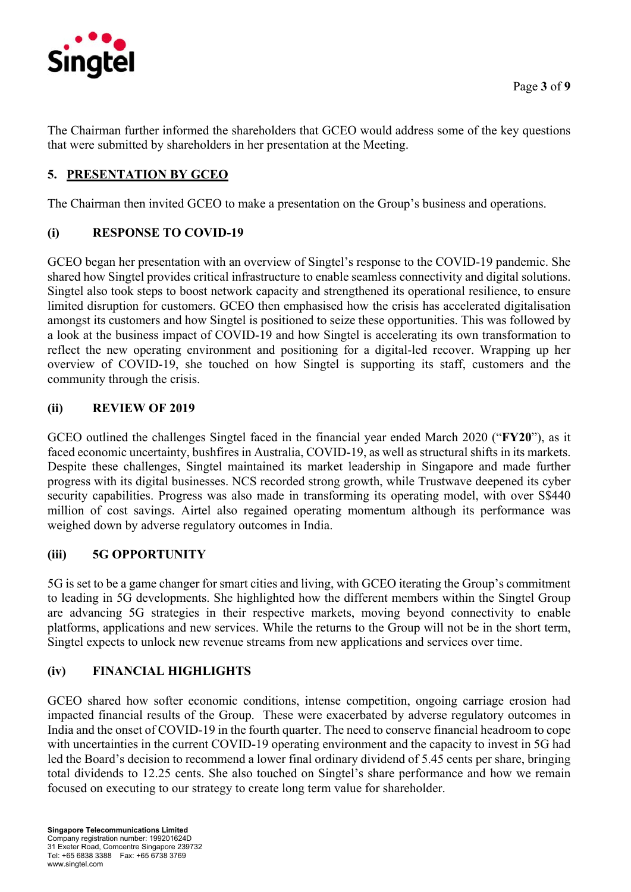

The Chairman further informed the shareholders that GCEO would address some of the key questions that were submitted by shareholders in her presentation at the Meeting.

# **5. PRESENTATION BY GCEO**

The Chairman then invited GCEO to make a presentation on the Group's business and operations.

# **(i) RESPONSE TO COVID-19**

GCEO began her presentation with an overview of Singtel's response to the COVID-19 pandemic. She shared how Singtel provides critical infrastructure to enable seamless connectivity and digital solutions. Singtel also took steps to boost network capacity and strengthened its operational resilience, to ensure limited disruption for customers. GCEO then emphasised how the crisis has accelerated digitalisation amongst its customers and how Singtel is positioned to seize these opportunities. This was followed by a look at the business impact of COVID-19 and how Singtel is accelerating its own transformation to reflect the new operating environment and positioning for a digital-led recover. Wrapping up her overview of COVID-19, she touched on how Singtel is supporting its staff, customers and the community through the crisis.

# **(ii) REVIEW OF 2019**

GCEO outlined the challenges Singtel faced in the financial year ended March 2020 ("**FY20**"), as it faced economic uncertainty, bushfires in Australia, COVID-19, as well as structural shifts in its markets. Despite these challenges, Singtel maintained its market leadership in Singapore and made further progress with its digital businesses. NCS recorded strong growth, while Trustwave deepened its cyber security capabilities. Progress was also made in transforming its operating model, with over S\$440 million of cost savings. Airtel also regained operating momentum although its performance was weighed down by adverse regulatory outcomes in India.

# **(iii) 5G OPPORTUNITY**

5G is set to be a game changer for smart cities and living, with GCEO iterating the Group's commitment to leading in 5G developments. She highlighted how the different members within the Singtel Group are advancing 5G strategies in their respective markets, moving beyond connectivity to enable platforms, applications and new services. While the returns to the Group will not be in the short term, Singtel expects to unlock new revenue streams from new applications and services over time.

# **(iv) FINANCIAL HIGHLIGHTS**

GCEO shared how softer economic conditions, intense competition, ongoing carriage erosion had impacted financial results of the Group. These were exacerbated by adverse regulatory outcomes in India and the onset of COVID-19 in the fourth quarter. The need to conserve financial headroom to cope with uncertainties in the current COVID-19 operating environment and the capacity to invest in 5G had led the Board's decision to recommend a lower final ordinary dividend of 5.45 cents per share, bringing total dividends to 12.25 cents. She also touched on Singtel's share performance and how we remain focused on executing to our strategy to create long term value for shareholder.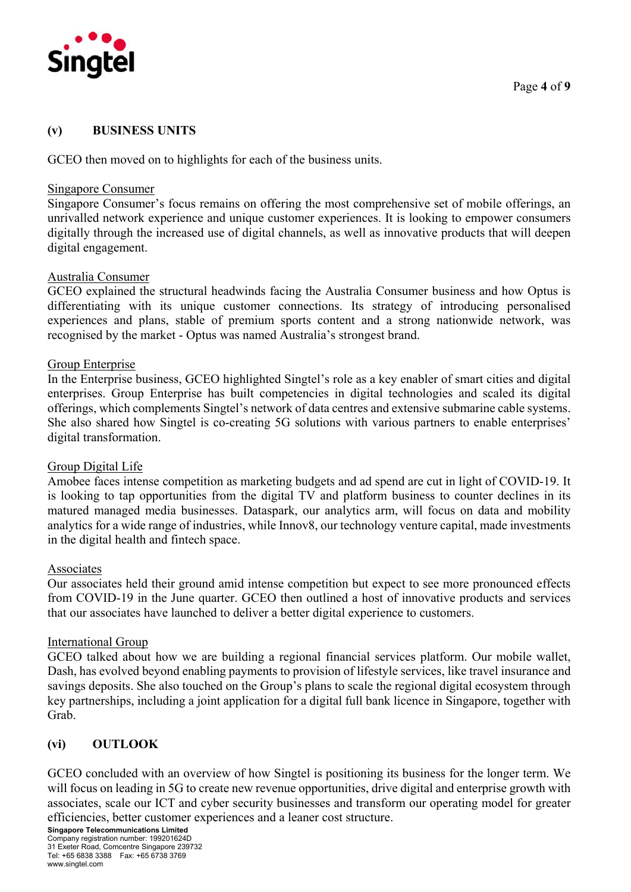

# **(v) BUSINESS UNITS**

GCEO then moved on to highlights for each of the business units.

### Singapore Consumer

Singapore Consumer's focus remains on offering the most comprehensive set of mobile offerings, an unrivalled network experience and unique customer experiences. It is looking to empower consumers digitally through the increased use of digital channels, as well as innovative products that will deepen digital engagement.

# Australia Consumer

GCEO explained the structural headwinds facing the Australia Consumer business and how Optus is differentiating with its unique customer connections. Its strategy of introducing personalised experiences and plans, stable of premium sports content and a strong nationwide network, was recognised by the market - Optus was named Australia's strongest brand.

### Group Enterprise

In the Enterprise business, GCEO highlighted Singtel's role as a key enabler of smart cities and digital enterprises. Group Enterprise has built competencies in digital technologies and scaled its digital offerings, which complements Singtel's network of data centres and extensive submarine cable systems. She also shared how Singtel is co-creating 5G solutions with various partners to enable enterprises' digital transformation.

# Group Digital Life

Amobee faces intense competition as marketing budgets and ad spend are cut in light of COVID-19. It is looking to tap opportunities from the digital TV and platform business to counter declines in its matured managed media businesses. Dataspark, our analytics arm, will focus on data and mobility analytics for a wide range of industries, while Innov8, our technology venture capital, made investments in the digital health and fintech space.

### Associates

Our associates held their ground amid intense competition but expect to see more pronounced effects from COVID-19 in the June quarter. GCEO then outlined a host of innovative products and services that our associates have launched to deliver a better digital experience to customers.

### International Group

GCEO talked about how we are building a regional financial services platform. Our mobile wallet, Dash, has evolved beyond enabling payments to provision of lifestyle services, like travel insurance and savings deposits. She also touched on the Group's plans to scale the regional digital ecosystem through key partnerships, including a joint application for a digital full bank licence in Singapore, together with Grab.

# **(vi) OUTLOOK**

GCEO concluded with an overview of how Singtel is positioning its business for the longer term. We will focus on leading in 5G to create new revenue opportunities, drive digital and enterprise growth with associates, scale our ICT and cyber security businesses and transform our operating model for greater efficiencies, better customer experiences and a leaner cost structure.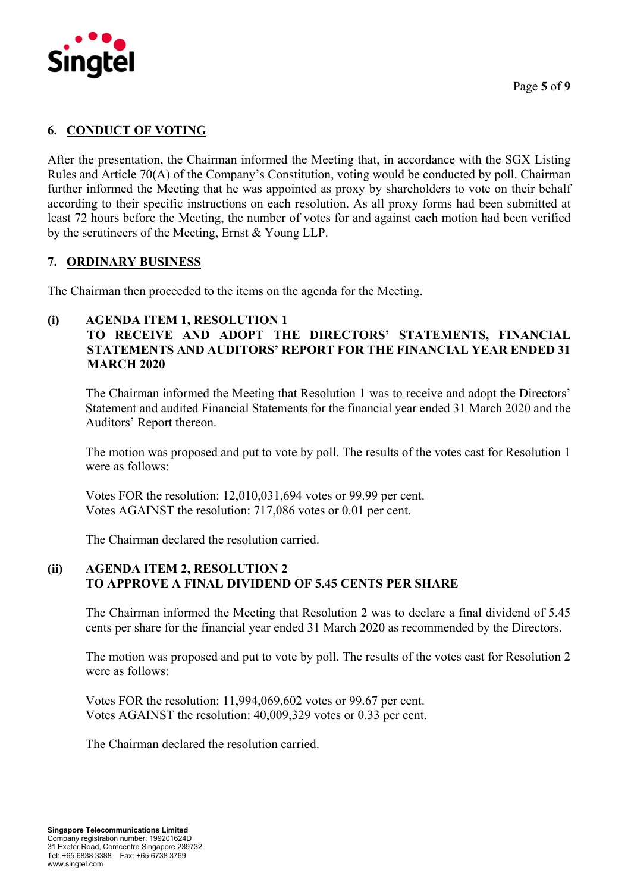

# **6. CONDUCT OF VOTING**

After the presentation, the Chairman informed the Meeting that, in accordance with the SGX Listing Rules and Article 70(A) of the Company's Constitution, voting would be conducted by poll. Chairman further informed the Meeting that he was appointed as proxy by shareholders to vote on their behalf according to their specific instructions on each resolution. As all proxy forms had been submitted at least 72 hours before the Meeting, the number of votes for and against each motion had been verified by the scrutineers of the Meeting, Ernst & Young LLP.

# **7. ORDINARY BUSINESS**

The Chairman then proceeded to the items on the agenda for the Meeting.

# **(i) AGENDA ITEM 1, RESOLUTION 1**

# **TO RECEIVE AND ADOPT THE DIRECTORS' STATEMENTS, FINANCIAL STATEMENTS AND AUDITORS' REPORT FOR THE FINANCIAL YEAR ENDED 31 MARCH 2020**

The Chairman informed the Meeting that Resolution 1 was to receive and adopt the Directors' Statement and audited Financial Statements for the financial year ended 31 March 2020 and the Auditors' Report thereon.

The motion was proposed and put to vote by poll. The results of the votes cast for Resolution 1 were as follows:

Votes FOR the resolution: 12,010,031,694 votes or 99.99 per cent. Votes AGAINST the resolution: 717,086 votes or 0.01 per cent.

The Chairman declared the resolution carried.

# **(ii) AGENDA ITEM 2, RESOLUTION 2 TO APPROVE A FINAL DIVIDEND OF 5.45 CENTS PER SHARE**

The Chairman informed the Meeting that Resolution 2 was to declare a final dividend of 5.45 cents per share for the financial year ended 31 March 2020 as recommended by the Directors.

The motion was proposed and put to vote by poll. The results of the votes cast for Resolution 2 were as follows:

Votes FOR the resolution: 11,994,069,602 votes or 99.67 per cent. Votes AGAINST the resolution: 40,009,329 votes or 0.33 per cent.

The Chairman declared the resolution carried.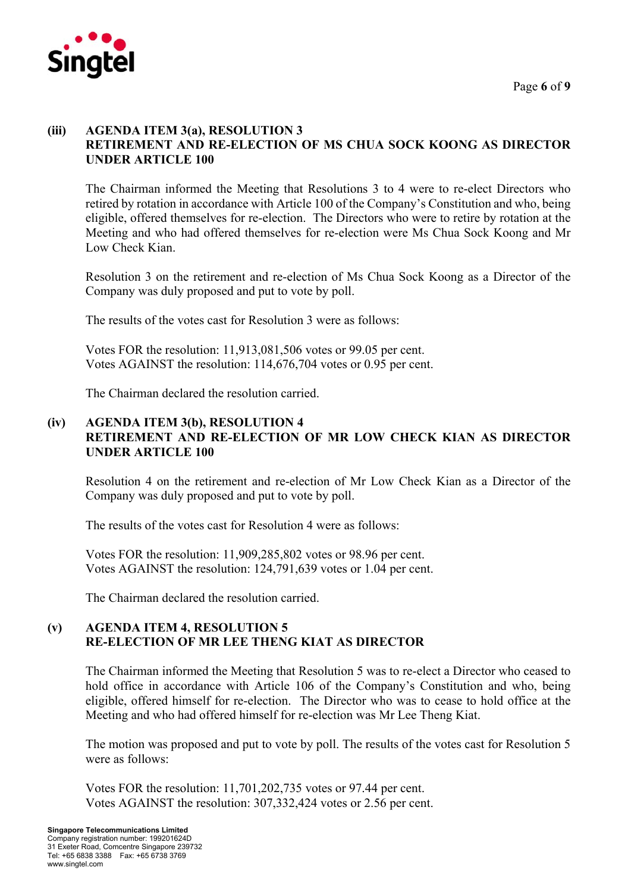

# **(iii) AGENDA ITEM 3(a), RESOLUTION 3 RETIREMENT AND RE-ELECTION OF MS CHUA SOCK KOONG AS DIRECTOR UNDER ARTICLE 100**

The Chairman informed the Meeting that Resolutions 3 to 4 were to re-elect Directors who retired by rotation in accordance with Article 100 of the Company's Constitution and who, being eligible, offered themselves for re-election. The Directors who were to retire by rotation at the Meeting and who had offered themselves for re-election were Ms Chua Sock Koong and Mr Low Check Kian.

Resolution 3 on the retirement and re-election of Ms Chua Sock Koong as a Director of the Company was duly proposed and put to vote by poll.

The results of the votes cast for Resolution 3 were as follows:

Votes FOR the resolution: 11,913,081,506 votes or 99.05 per cent. Votes AGAINST the resolution: 114,676,704 votes or 0.95 per cent.

The Chairman declared the resolution carried.

# **(iv) AGENDA ITEM 3(b), RESOLUTION 4 RETIREMENT AND RE-ELECTION OF MR LOW CHECK KIAN AS DIRECTOR UNDER ARTICLE 100**

Resolution 4 on the retirement and re-election of Mr Low Check Kian as a Director of the Company was duly proposed and put to vote by poll.

The results of the votes cast for Resolution 4 were as follows:

Votes FOR the resolution: 11,909,285,802 votes or 98.96 per cent. Votes AGAINST the resolution: 124,791,639 votes or 1.04 per cent.

The Chairman declared the resolution carried.

# **(v) AGENDA ITEM 4, RESOLUTION 5 RE-ELECTION OF MR LEE THENG KIAT AS DIRECTOR**

The Chairman informed the Meeting that Resolution 5 was to re-elect a Director who ceased to hold office in accordance with Article 106 of the Company's Constitution and who, being eligible, offered himself for re-election. The Director who was to cease to hold office at the Meeting and who had offered himself for re-election was Mr Lee Theng Kiat.

The motion was proposed and put to vote by poll. The results of the votes cast for Resolution 5 were as follows:

Votes FOR the resolution: 11,701,202,735 votes or 97.44 per cent. Votes AGAINST the resolution: 307,332,424 votes or 2.56 per cent.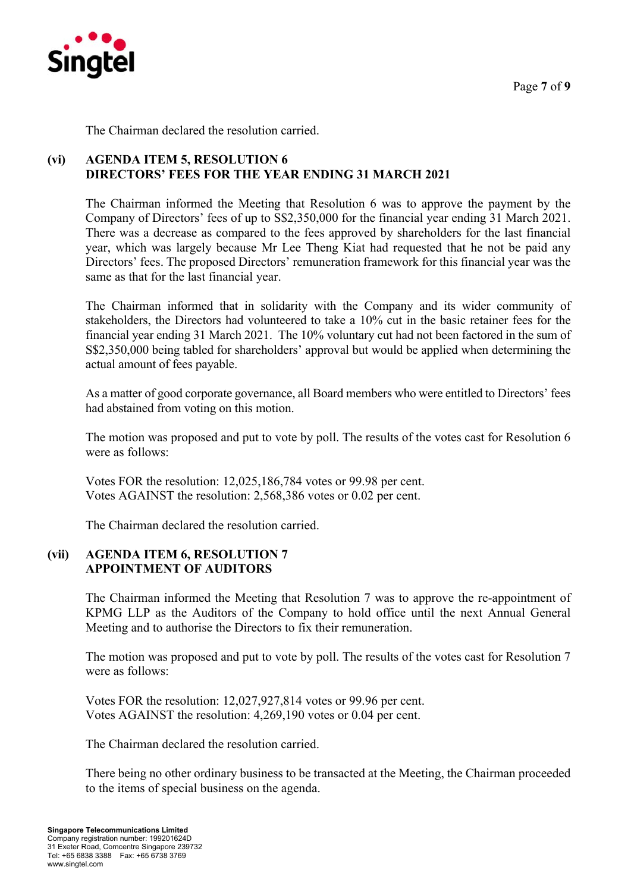

The Chairman declared the resolution carried.

# **(vi) AGENDA ITEM 5, RESOLUTION 6 DIRECTORS' FEES FOR THE YEAR ENDING 31 MARCH 2021**

The Chairman informed the Meeting that Resolution 6 was to approve the payment by the Company of Directors' fees of up to S\$2,350,000 for the financial year ending 31 March 2021. There was a decrease as compared to the fees approved by shareholders for the last financial year, which was largely because Mr Lee Theng Kiat had requested that he not be paid any Directors' fees. The proposed Directors' remuneration framework for this financial year was the same as that for the last financial year.

The Chairman informed that in solidarity with the Company and its wider community of stakeholders, the Directors had volunteered to take a 10% cut in the basic retainer fees for the financial year ending 31 March 2021. The 10% voluntary cut had not been factored in the sum of S\$2,350,000 being tabled for shareholders' approval but would be applied when determining the actual amount of fees payable.

As a matter of good corporate governance, all Board members who were entitled to Directors' fees had abstained from voting on this motion.

The motion was proposed and put to vote by poll. The results of the votes cast for Resolution 6 were as follows:

Votes FOR the resolution: 12,025,186,784 votes or 99.98 per cent. Votes AGAINST the resolution: 2,568,386 votes or 0.02 per cent.

The Chairman declared the resolution carried.

# **(vii) AGENDA ITEM 6, RESOLUTION 7 APPOINTMENT OF AUDITORS**

The Chairman informed the Meeting that Resolution 7 was to approve the re-appointment of KPMG LLP as the Auditors of the Company to hold office until the next Annual General Meeting and to authorise the Directors to fix their remuneration.

The motion was proposed and put to vote by poll. The results of the votes cast for Resolution 7 were as follows:

Votes FOR the resolution: 12,027,927,814 votes or 99.96 per cent. Votes AGAINST the resolution: 4,269,190 votes or 0.04 per cent.

The Chairman declared the resolution carried.

 There being no other ordinary business to be transacted at the Meeting, the Chairman proceeded to the items of special business on the agenda.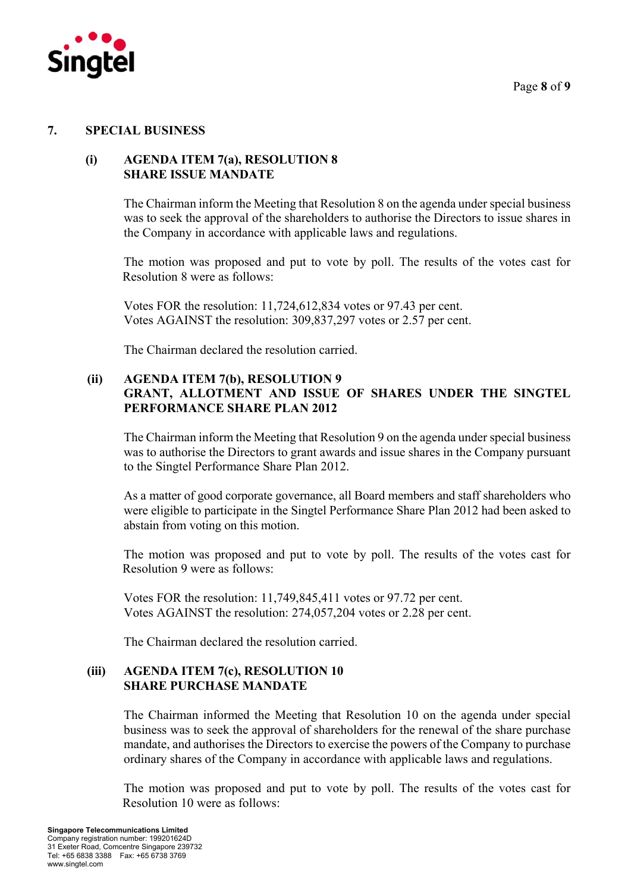

# **7. SPECIAL BUSINESS**

# **(i) AGENDA ITEM 7(a), RESOLUTION 8 SHARE ISSUE MANDATE**

The Chairman inform the Meeting that Resolution 8 on the agenda under special business was to seek the approval of the shareholders to authorise the Directors to issue shares in the Company in accordance with applicable laws and regulations.

The motion was proposed and put to vote by poll. The results of the votes cast for Resolution 8 were as follows:

Votes FOR the resolution: 11,724,612,834 votes or 97.43 per cent. Votes AGAINST the resolution: 309,837,297 votes or 2.57 per cent.

The Chairman declared the resolution carried.

# **(ii) AGENDA ITEM 7(b), RESOLUTION 9 GRANT, ALLOTMENT AND ISSUE OF SHARES UNDER THE SINGTEL PERFORMANCE SHARE PLAN 2012**

The Chairman inform the Meeting that Resolution 9 on the agenda under special business was to authorise the Directors to grant awards and issue shares in the Company pursuant to the Singtel Performance Share Plan 2012.

As a matter of good corporate governance, all Board members and staff shareholders who were eligible to participate in the Singtel Performance Share Plan 2012 had been asked to abstain from voting on this motion.

The motion was proposed and put to vote by poll. The results of the votes cast for Resolution 9 were as follows:

Votes FOR the resolution: 11,749,845,411 votes or 97.72 per cent. Votes AGAINST the resolution: 274,057,204 votes or 2.28 per cent.

The Chairman declared the resolution carried.

# **(iii) AGENDA ITEM 7(c), RESOLUTION 10 SHARE PURCHASE MANDATE**

 The Chairman informed the Meeting that Resolution 10 on the agenda under special business was to seek the approval of shareholders for the renewal of the share purchase mandate, and authorises the Directors to exercise the powers of the Company to purchase ordinary shares of the Company in accordance with applicable laws and regulations.

The motion was proposed and put to vote by poll. The results of the votes cast for Resolution 10 were as follows: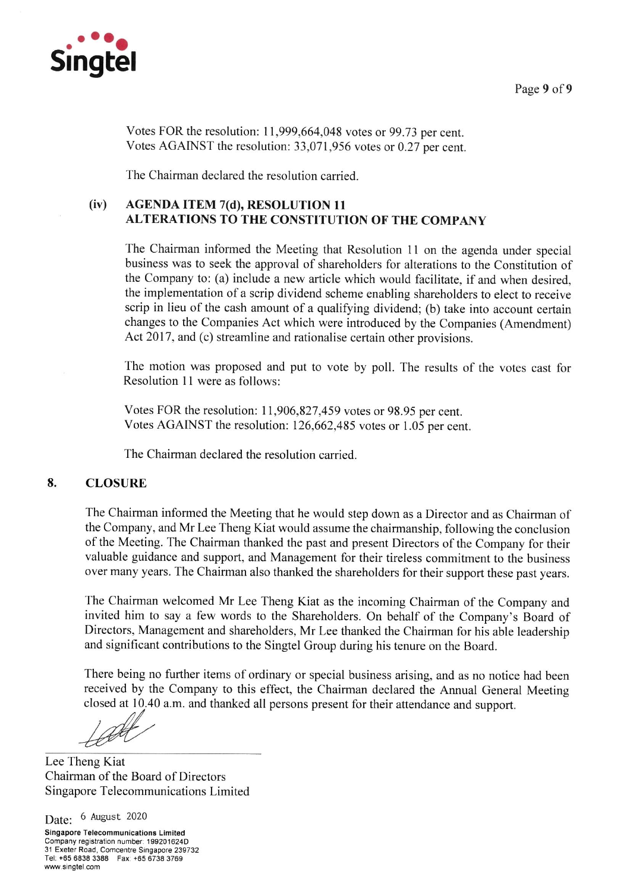

Page 9 of 9

Votes FOR the resolution: 11,999,664,048 votes or 99.73 per cent. Votes AGAINST the resolution: 33,071,956 votes or 0.27 per cent.

The Chairman declared the resolution carried.

#### $(iv)$ **AGENDA ITEM 7(d), RESOLUTION 11 ALTERATIONS TO THE CONSTITUTION OF THE COMPANY**

The Chairman informed the Meeting that Resolution 11 on the agenda under special business was to seek the approval of shareholders for alterations to the Constitution of the Company to: (a) include a new article which would facilitate, if and when desired. the implementation of a scrip dividend scheme enabling shareholders to elect to receive scrip in lieu of the cash amount of a qualifying dividend; (b) take into account certain changes to the Companies Act which were introduced by the Companies (Amendment) Act 2017, and (c) streamline and rationalise certain other provisions.

The motion was proposed and put to vote by poll. The results of the votes cast for Resolution 11 were as follows:

Votes FOR the resolution: 11,906,827,459 votes or 98.95 per cent. Votes AGAINST the resolution: 126,662,485 votes or 1.05 per cent.

The Chairman declared the resolution carried.

#### 8. **CLOSURE**

The Chairman informed the Meeting that he would step down as a Director and as Chairman of the Company, and Mr Lee Theng Kiat would assume the chairmanship, following the conclusion of the Meeting. The Chairman thanked the past and present Directors of the Company for their valuable guidance and support, and Management for their tireless commitment to the business over many years. The Chairman also thanked the shareholders for their support these past years.

The Chairman welcomed Mr Lee Theng Kiat as the incoming Chairman of the Company and invited him to say a few words to the Shareholders. On behalf of the Company's Board of Directors, Management and shareholders, Mr Lee thanked the Chairman for his able leadership and significant contributions to the Singtel Group during his tenure on the Board.

There being no further items of ordinary or special business arising, and as no notice had been received by the Company to this effect, the Chairman declared the Annual General Meeting closed at 10.40 a.m. and thanked all persons present for their attendance and support.

 $400$ 

Lee Theng Kiat Chairman of the Board of Directors Singapore Telecommunications Limited

Date: 6 August 2020

**Singapore Telecommunications Limited** Company registration number: 199201624D 31 Exeter Road, Comcentre Singapore 239732 Tel: +65 6838 3388 Fax: +65 6738 3769 www.singtel.com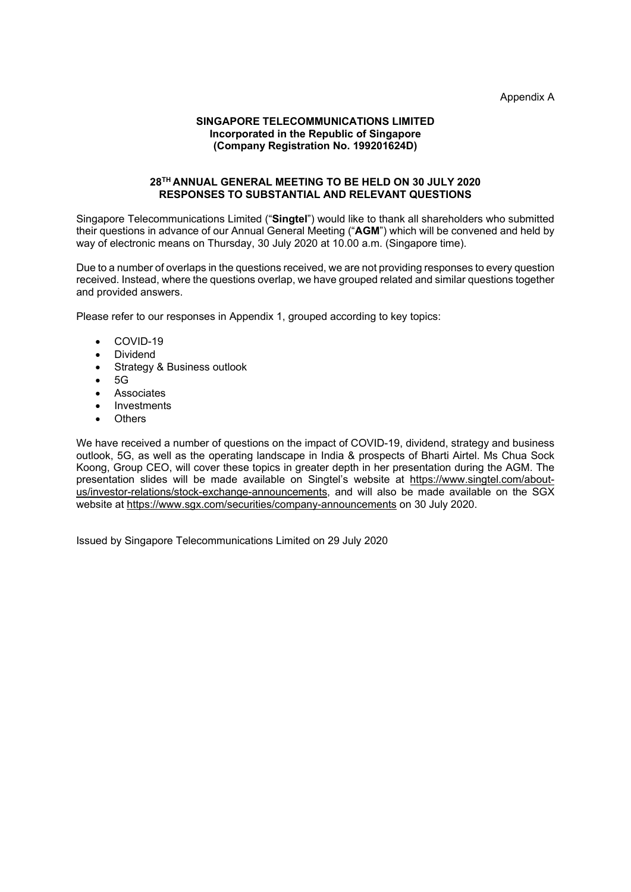Appendix A

### **SINGAPORE TELECOMMUNICATIONS LIMITED Incorporated in the Republic of Singapore (Company Registration No. 199201624D)**

### **28TH ANNUAL GENERAL MEETING TO BE HELD ON 30 JULY 2020 RESPONSES TO SUBSTANTIAL AND RELEVANT QUESTIONS**

Singapore Telecommunications Limited ("**Singtel**") would like to thank all shareholders who submitted their questions in advance of our Annual General Meeting ("**AGM**") which will be convened and held by way of electronic means on Thursday, 30 July 2020 at 10.00 a.m. (Singapore time).

Due to a number of overlaps in the questions received, we are not providing responses to every question received. Instead, where the questions overlap, we have grouped related and similar questions together and provided answers.

Please refer to our responses in Appendix 1, grouped according to key topics:

- COVID-19
- Dividend
- Strategy & Business outlook
- $-5G$
- Associates
- Investments
- **Others**

We have received a number of questions on the impact of COVID-19, dividend, strategy and business outlook, 5G, as well as the operating landscape in India & prospects of Bharti Airtel. Ms Chua Sock Koong, Group CEO, will cover these topics in greater depth in her presentation during the AGM. The presentation slides will be made available on Singtel's website at https://www.singtel.com/aboutus/investor-relations/stock-exchange-announcements, and will also be made available on the SGX website at https://www.sgx.com/securities/company-announcements on 30 July 2020.

Issued by Singapore Telecommunications Limited on 29 July 2020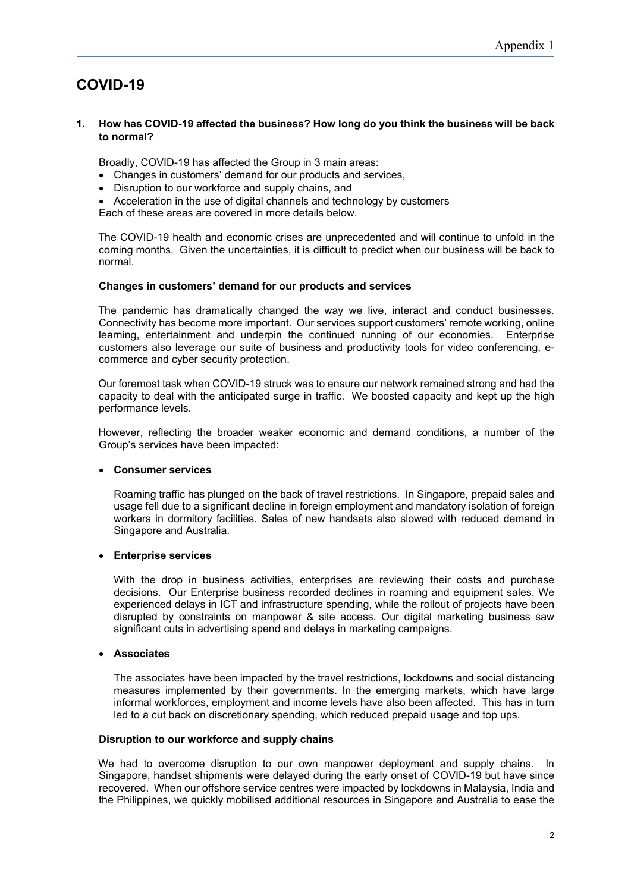# **COVID-19**

### **1. How has COVID-19 affected the business? How long do you think the business will be back to normal?**

Broadly, COVID-19 has affected the Group in 3 main areas:

- Changes in customers' demand for our products and services,
- Disruption to our workforce and supply chains, and

Acceleration in the use of digital channels and technology by customers

Each of these areas are covered in more details below.

The COVID-19 health and economic crises are unprecedented and will continue to unfold in the coming months. Given the uncertainties, it is difficult to predict when our business will be back to normal.

### **Changes in customers' demand for our products and services**

The pandemic has dramatically changed the way we live, interact and conduct businesses. Connectivity has become more important. Our services support customers' remote working, online learning, entertainment and underpin the continued running of our economies. Enterprise customers also leverage our suite of business and productivity tools for video conferencing, ecommerce and cyber security protection.

Our foremost task when COVID-19 struck was to ensure our network remained strong and had the capacity to deal with the anticipated surge in traffic. We boosted capacity and kept up the high performance levels.

However, reflecting the broader weaker economic and demand conditions, a number of the Group's services have been impacted:

### **Consumer services**

Roaming traffic has plunged on the back of travel restrictions. In Singapore, prepaid sales and usage fell due to a significant decline in foreign employment and mandatory isolation of foreign workers in dormitory facilities. Sales of new handsets also slowed with reduced demand in Singapore and Australia.

### **Enterprise services**

With the drop in business activities, enterprises are reviewing their costs and purchase decisions. Our Enterprise business recorded declines in roaming and equipment sales. We experienced delays in ICT and infrastructure spending, while the rollout of projects have been disrupted by constraints on manpower & site access. Our digital marketing business saw significant cuts in advertising spend and delays in marketing campaigns.

### **Associates**

The associates have been impacted by the travel restrictions, lockdowns and social distancing measures implemented by their governments. In the emerging markets, which have large informal workforces, employment and income levels have also been affected. This has in turn led to a cut back on discretionary spending, which reduced prepaid usage and top ups.

### **Disruption to our workforce and supply chains**

We had to overcome disruption to our own manpower deployment and supply chains. In Singapore, handset shipments were delayed during the early onset of COVID-19 but have since recovered. When our offshore service centres were impacted by lockdowns in Malaysia, India and the Philippines, we quickly mobilised additional resources in Singapore and Australia to ease the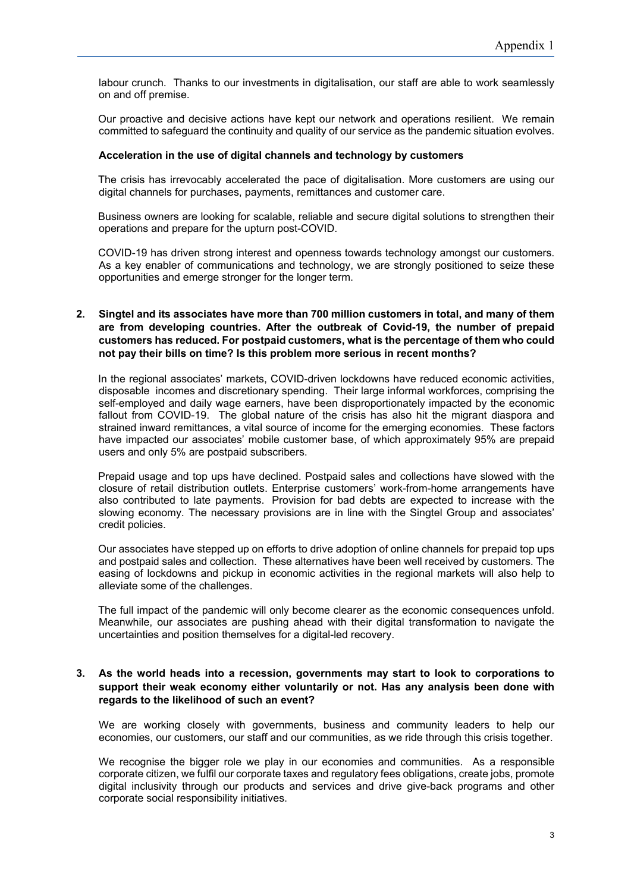labour crunch. Thanks to our investments in digitalisation, our staff are able to work seamlessly on and off premise.

Our proactive and decisive actions have kept our network and operations resilient. We remain committed to safeguard the continuity and quality of our service as the pandemic situation evolves.

### **Acceleration in the use of digital channels and technology by customers**

The crisis has irrevocably accelerated the pace of digitalisation. More customers are using our digital channels for purchases, payments, remittances and customer care.

Business owners are looking for scalable, reliable and secure digital solutions to strengthen their operations and prepare for the upturn post-COVID.

COVID-19 has driven strong interest and openness towards technology amongst our customers. As a key enabler of communications and technology, we are strongly positioned to seize these opportunities and emerge stronger for the longer term.

### **2. Singtel and its associates have more than 700 million customers in total, and many of them are from developing countries. After the outbreak of Covid-19, the number of prepaid customers has reduced. For postpaid customers, what is the percentage of them who could not pay their bills on time? Is this problem more serious in recent months?**

In the regional associates' markets, COVID-driven lockdowns have reduced economic activities, disposable incomes and discretionary spending. Their large informal workforces, comprising the self-employed and daily wage earners, have been disproportionately impacted by the economic fallout from COVID-19. The global nature of the crisis has also hit the migrant diaspora and strained inward remittances, a vital source of income for the emerging economies. These factors have impacted our associates' mobile customer base, of which approximately 95% are prepaid users and only 5% are postpaid subscribers.

Prepaid usage and top ups have declined. Postpaid sales and collections have slowed with the closure of retail distribution outlets. Enterprise customers' work-from-home arrangements have also contributed to late payments. Provision for bad debts are expected to increase with the slowing economy. The necessary provisions are in line with the Singtel Group and associates' credit policies.

Our associates have stepped up on efforts to drive adoption of online channels for prepaid top ups and postpaid sales and collection. These alternatives have been well received by customers. The easing of lockdowns and pickup in economic activities in the regional markets will also help to alleviate some of the challenges.

The full impact of the pandemic will only become clearer as the economic consequences unfold. Meanwhile, our associates are pushing ahead with their digital transformation to navigate the uncertainties and position themselves for a digital-led recovery.

### **3. As the world heads into a recession, governments may start to look to corporations to support their weak economy either voluntarily or not. Has any analysis been done with regards to the likelihood of such an event?**

We are working closely with governments, business and community leaders to help our economies, our customers, our staff and our communities, as we ride through this crisis together.

We recognise the bigger role we play in our economies and communities. As a responsible corporate citizen, we fulfil our corporate taxes and regulatory fees obligations, create jobs, promote digital inclusivity through our products and services and drive give-back programs and other corporate social responsibility initiatives.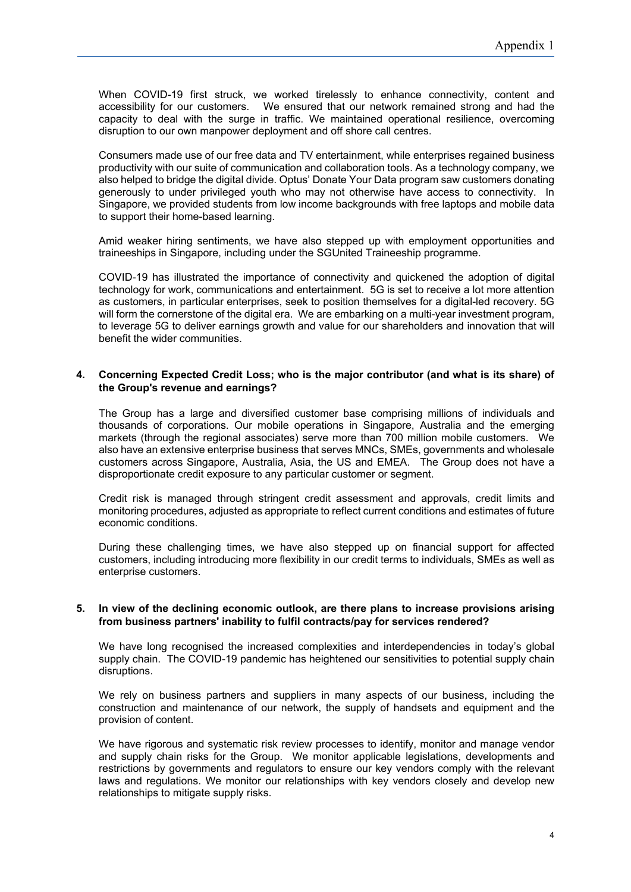When COVID-19 first struck, we worked tirelessly to enhance connectivity, content and accessibility for our customers. We ensured that our network remained strong and had the capacity to deal with the surge in traffic. We maintained operational resilience, overcoming disruption to our own manpower deployment and off shore call centres.

Consumers made use of our free data and TV entertainment, while enterprises regained business productivity with our suite of communication and collaboration tools. As a technology company, we also helped to bridge the digital divide. Optus' Donate Your Data program saw customers donating generously to under privileged youth who may not otherwise have access to connectivity. In Singapore, we provided students from low income backgrounds with free laptops and mobile data to support their home-based learning.

Amid weaker hiring sentiments, we have also stepped up with employment opportunities and traineeships in Singapore, including under the SGUnited Traineeship programme.

COVID-19 has illustrated the importance of connectivity and quickened the adoption of digital technology for work, communications and entertainment. 5G is set to receive a lot more attention as customers, in particular enterprises, seek to position themselves for a digital-led recovery. 5G will form the cornerstone of the digital era. We are embarking on a multi-year investment program, to leverage 5G to deliver earnings growth and value for our shareholders and innovation that will benefit the wider communities.

### **4. Concerning Expected Credit Loss; who is the major contributor (and what is its share) of the Group's revenue and earnings?**

The Group has a large and diversified customer base comprising millions of individuals and thousands of corporations. Our mobile operations in Singapore, Australia and the emerging markets (through the regional associates) serve more than 700 million mobile customers. We also have an extensive enterprise business that serves MNCs, SMEs, governments and wholesale customers across Singapore, Australia, Asia, the US and EMEA. The Group does not have a disproportionate credit exposure to any particular customer or segment.

Credit risk is managed through stringent credit assessment and approvals, credit limits and monitoring procedures, adjusted as appropriate to reflect current conditions and estimates of future economic conditions.

During these challenging times, we have also stepped up on financial support for affected customers, including introducing more flexibility in our credit terms to individuals, SMEs as well as enterprise customers.

### **5. In view of the declining economic outlook, are there plans to increase provisions arising from business partners' inability to fulfil contracts/pay for services rendered?**

We have long recognised the increased complexities and interdependencies in today's global supply chain. The COVID-19 pandemic has heightened our sensitivities to potential supply chain disruptions.

We rely on business partners and suppliers in many aspects of our business, including the construction and maintenance of our network, the supply of handsets and equipment and the provision of content.

We have rigorous and systematic risk review processes to identify, monitor and manage vendor and supply chain risks for the Group. We monitor applicable legislations, developments and restrictions by governments and regulators to ensure our key vendors comply with the relevant laws and regulations. We monitor our relationships with key vendors closely and develop new relationships to mitigate supply risks.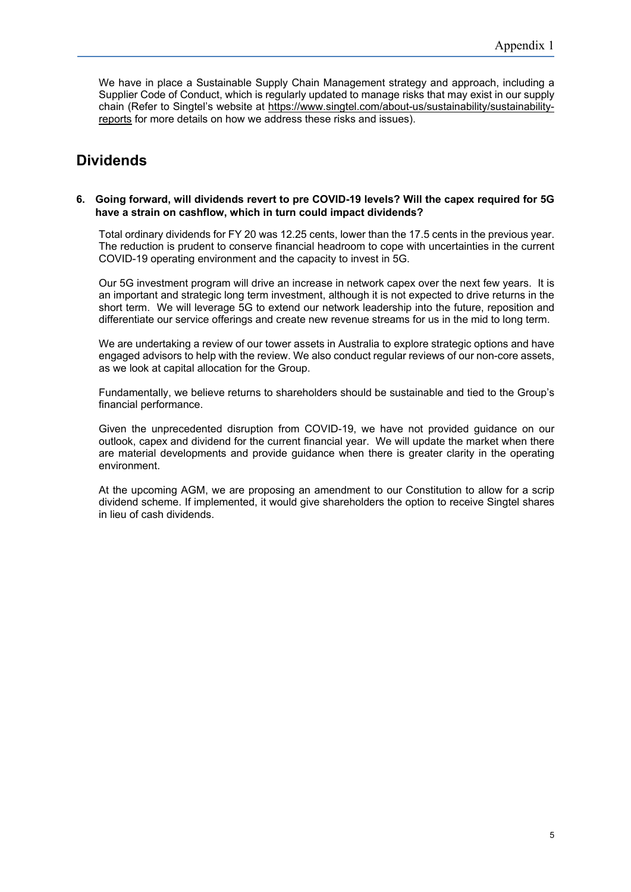We have in place a Sustainable Supply Chain Management strategy and approach, including a Supplier Code of Conduct, which is regularly updated to manage risks that may exist in our supply chain (Refer to Singtel's website at https://www.singtel.com/about-us/sustainability/sustainabilityreports for more details on how we address these risks and issues).

# **Dividends**

### **6. Going forward, will dividends revert to pre COVID-19 levels? Will the capex required for 5G have a strain on cashflow, which in turn could impact dividends?**

Total ordinary dividends for FY 20 was 12.25 cents, lower than the 17.5 cents in the previous year. The reduction is prudent to conserve financial headroom to cope with uncertainties in the current COVID-19 operating environment and the capacity to invest in 5G.

Our 5G investment program will drive an increase in network capex over the next few years. It is an important and strategic long term investment, although it is not expected to drive returns in the short term. We will leverage 5G to extend our network leadership into the future, reposition and differentiate our service offerings and create new revenue streams for us in the mid to long term.

We are undertaking a review of our tower assets in Australia to explore strategic options and have engaged advisors to help with the review. We also conduct regular reviews of our non-core assets, as we look at capital allocation for the Group.

Fundamentally, we believe returns to shareholders should be sustainable and tied to the Group's financial performance.

Given the unprecedented disruption from COVID-19, we have not provided guidance on our outlook, capex and dividend for the current financial year. We will update the market when there are material developments and provide guidance when there is greater clarity in the operating environment.

At the upcoming AGM, we are proposing an amendment to our Constitution to allow for a scrip dividend scheme. If implemented, it would give shareholders the option to receive Singtel shares in lieu of cash dividends.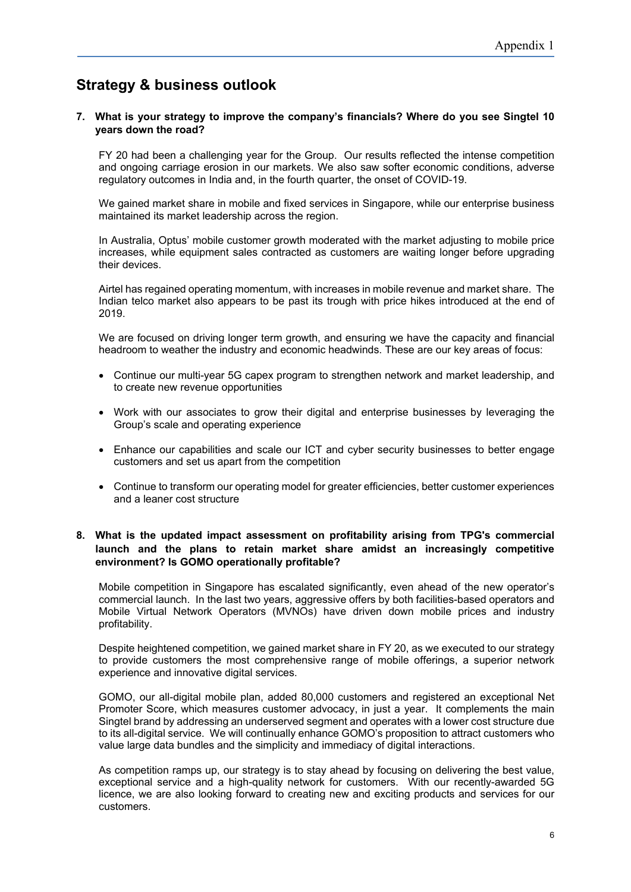# **Strategy & business outlook**

### **7. What is your strategy to improve the company's financials? Where do you see Singtel 10 years down the road?**

FY 20 had been a challenging year for the Group. Our results reflected the intense competition and ongoing carriage erosion in our markets. We also saw softer economic conditions, adverse regulatory outcomes in India and, in the fourth quarter, the onset of COVID-19.

We gained market share in mobile and fixed services in Singapore, while our enterprise business maintained its market leadership across the region.

In Australia, Optus' mobile customer growth moderated with the market adjusting to mobile price increases, while equipment sales contracted as customers are waiting longer before upgrading their devices.

Airtel has regained operating momentum, with increases in mobile revenue and market share. The Indian telco market also appears to be past its trough with price hikes introduced at the end of 2019.

We are focused on driving longer term growth, and ensuring we have the capacity and financial headroom to weather the industry and economic headwinds. These are our key areas of focus:

- Continue our multi-year 5G capex program to strengthen network and market leadership, and to create new revenue opportunities
- Work with our associates to grow their digital and enterprise businesses by leveraging the Group's scale and operating experience
- Enhance our capabilities and scale our ICT and cyber security businesses to better engage customers and set us apart from the competition
- Continue to transform our operating model for greater efficiencies, better customer experiences and a leaner cost structure

### **8. What is the updated impact assessment on profitability arising from TPG's commercial launch and the plans to retain market share amidst an increasingly competitive environment? Is GOMO operationally profitable?**

Mobile competition in Singapore has escalated significantly, even ahead of the new operator's commercial launch. In the last two years, aggressive offers by both facilities-based operators and Mobile Virtual Network Operators (MVNOs) have driven down mobile prices and industry profitability.

Despite heightened competition, we gained market share in FY 20, as we executed to our strategy to provide customers the most comprehensive range of mobile offerings, a superior network experience and innovative digital services.

GOMO, our all-digital mobile plan, added 80,000 customers and registered an exceptional Net Promoter Score, which measures customer advocacy, in just a year. It complements the main Singtel brand by addressing an underserved segment and operates with a lower cost structure due to its all-digital service. We will continually enhance GOMO's proposition to attract customers who value large data bundles and the simplicity and immediacy of digital interactions.

As competition ramps up, our strategy is to stay ahead by focusing on delivering the best value, exceptional service and a high-quality network for customers. With our recently-awarded 5G licence, we are also looking forward to creating new and exciting products and services for our customers.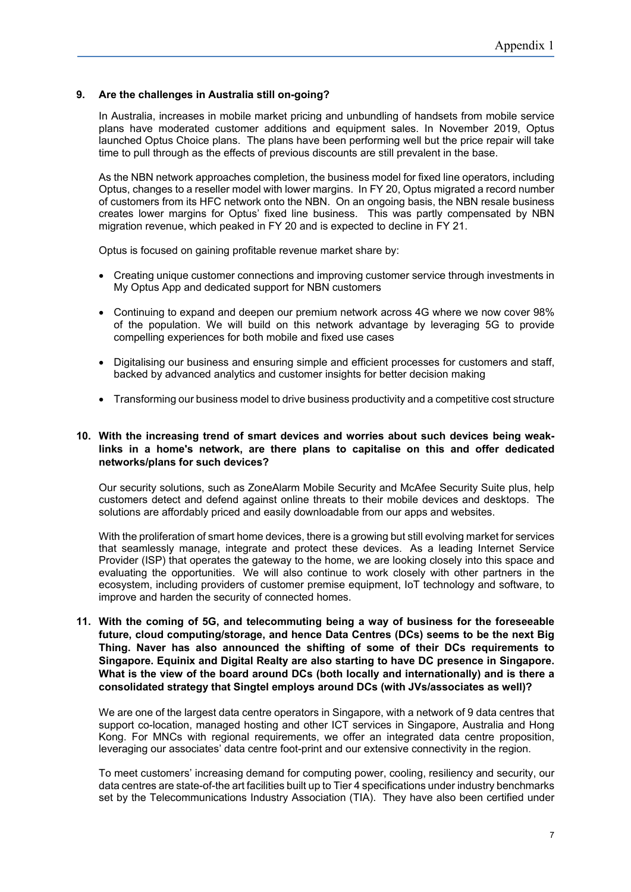### **9. Are the challenges in Australia still on-going?**

In Australia, increases in mobile market pricing and unbundling of handsets from mobile service plans have moderated customer additions and equipment sales. In November 2019, Optus launched Optus Choice plans. The plans have been performing well but the price repair will take time to pull through as the effects of previous discounts are still prevalent in the base.

As the NBN network approaches completion, the business model for fixed line operators, including Optus, changes to a reseller model with lower margins. In FY 20, Optus migrated a record number of customers from its HFC network onto the NBN. On an ongoing basis, the NBN resale business creates lower margins for Optus' fixed line business. This was partly compensated by NBN migration revenue, which peaked in FY 20 and is expected to decline in FY 21.

Optus is focused on gaining profitable revenue market share by:

- Creating unique customer connections and improving customer service through investments in My Optus App and dedicated support for NBN customers
- Continuing to expand and deepen our premium network across 4G where we now cover 98% of the population. We will build on this network advantage by leveraging 5G to provide compelling experiences for both mobile and fixed use cases
- Digitalising our business and ensuring simple and efficient processes for customers and staff, backed by advanced analytics and customer insights for better decision making
- Transforming our business model to drive business productivity and a competitive cost structure

### **10. With the increasing trend of smart devices and worries about such devices being weaklinks in a home's network, are there plans to capitalise on this and offer dedicated networks/plans for such devices?**

Our security solutions, such as ZoneAlarm Mobile Security and McAfee Security Suite plus, help customers detect and defend against online threats to their mobile devices and desktops. The solutions are affordably priced and easily downloadable from our apps and websites.

With the proliferation of smart home devices, there is a growing but still evolving market for services that seamlessly manage, integrate and protect these devices. As a leading Internet Service Provider (ISP) that operates the gateway to the home, we are looking closely into this space and evaluating the opportunities. We will also continue to work closely with other partners in the ecosystem, including providers of customer premise equipment, IoT technology and software, to improve and harden the security of connected homes.

### **11. With the coming of 5G, and telecommuting being a way of business for the foreseeable future, cloud computing/storage, and hence Data Centres (DCs) seems to be the next Big Thing. Naver has also announced the shifting of some of their DCs requirements to Singapore. Equinix and Digital Realty are also starting to have DC presence in Singapore. What is the view of the board around DCs (both locally and internationally) and is there a consolidated strategy that Singtel employs around DCs (with JVs/associates as well)?**

We are one of the largest data centre operators in Singapore, with a network of 9 data centres that support co-location, managed hosting and other ICT services in Singapore, Australia and Hong Kong. For MNCs with regional requirements, we offer an integrated data centre proposition, leveraging our associates' data centre foot-print and our extensive connectivity in the region.

To meet customers' increasing demand for computing power, cooling, resiliency and security, our data centres are state-of-the art facilities built up to Tier 4 specifications under industry benchmarks set by the Telecommunications Industry Association (TIA). They have also been certified under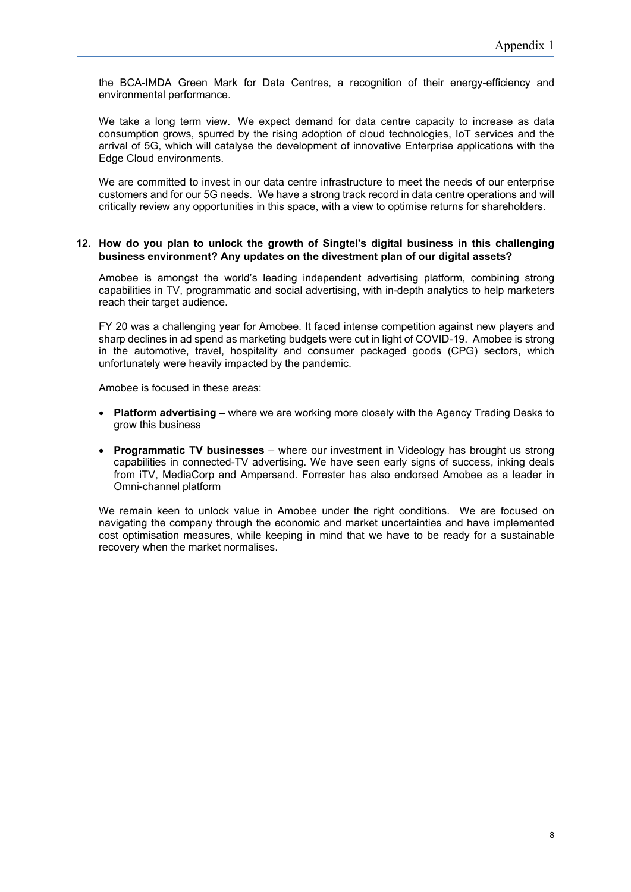the BCA-IMDA Green Mark for Data Centres, a recognition of their energy-efficiency and environmental performance.

We take a long term view. We expect demand for data centre capacity to increase as data consumption grows, spurred by the rising adoption of cloud technologies, IoT services and the arrival of 5G, which will catalyse the development of innovative Enterprise applications with the Edge Cloud environments.

We are committed to invest in our data centre infrastructure to meet the needs of our enterprise customers and for our 5G needs. We have a strong track record in data centre operations and will critically review any opportunities in this space, with a view to optimise returns for shareholders.

### **12. How do you plan to unlock the growth of Singtel's digital business in this challenging business environment? Any updates on the divestment plan of our digital assets?**

Amobee is amongst the world's leading independent advertising platform, combining strong capabilities in TV, programmatic and social advertising, with in-depth analytics to help marketers reach their target audience.

FY 20 was a challenging year for Amobee. It faced intense competition against new players and sharp declines in ad spend as marketing budgets were cut in light of COVID-19. Amobee is strong in the automotive, travel, hospitality and consumer packaged goods (CPG) sectors, which unfortunately were heavily impacted by the pandemic.

Amobee is focused in these areas:

- **Platform advertising** where we are working more closely with the Agency Trading Desks to grow this business
- **Programmatic TV businesses**  where our investment in Videology has brought us strong capabilities in connected-TV advertising. We have seen early signs of success, inking deals from iTV, MediaCorp and Ampersand. Forrester has also endorsed Amobee as a leader in Omni-channel platform

We remain keen to unlock value in Amobee under the right conditions. We are focused on navigating the company through the economic and market uncertainties and have implemented cost optimisation measures, while keeping in mind that we have to be ready for a sustainable recovery when the market normalises.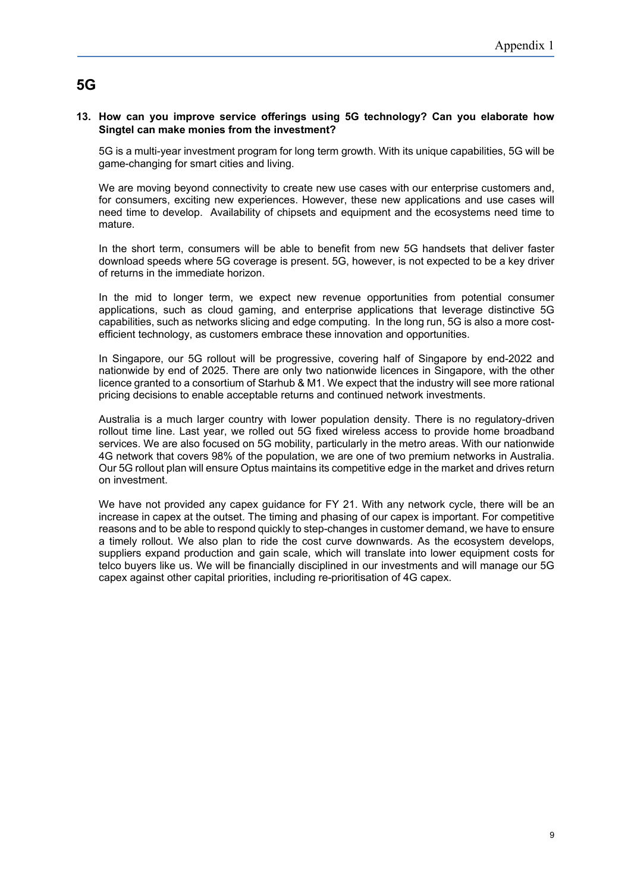# **5G**

### **13. How can you improve service offerings using 5G technology? Can you elaborate how Singtel can make monies from the investment?**

5G is a multi-year investment program for long term growth. With its unique capabilities, 5G will be game-changing for smart cities and living.

We are moving beyond connectivity to create new use cases with our enterprise customers and, for consumers, exciting new experiences. However, these new applications and use cases will need time to develop. Availability of chipsets and equipment and the ecosystems need time to mature.

In the short term, consumers will be able to benefit from new 5G handsets that deliver faster download speeds where 5G coverage is present. 5G, however, is not expected to be a key driver of returns in the immediate horizon.

In the mid to longer term, we expect new revenue opportunities from potential consumer applications, such as cloud gaming, and enterprise applications that leverage distinctive 5G capabilities, such as networks slicing and edge computing. In the long run, 5G is also a more costefficient technology, as customers embrace these innovation and opportunities.

In Singapore, our 5G rollout will be progressive, covering half of Singapore by end-2022 and nationwide by end of 2025. There are only two nationwide licences in Singapore, with the other licence granted to a consortium of Starhub & M1. We expect that the industry will see more rational pricing decisions to enable acceptable returns and continued network investments.

Australia is a much larger country with lower population density. There is no regulatory-driven rollout time line. Last year, we rolled out 5G fixed wireless access to provide home broadband services. We are also focused on 5G mobility, particularly in the metro areas. With our nationwide 4G network that covers 98% of the population, we are one of two premium networks in Australia. Our 5G rollout plan will ensure Optus maintains its competitive edge in the market and drives return on investment.

We have not provided any capex quidance for FY 21. With any network cycle, there will be an increase in capex at the outset. The timing and phasing of our capex is important. For competitive reasons and to be able to respond quickly to step-changes in customer demand, we have to ensure a timely rollout. We also plan to ride the cost curve downwards. As the ecosystem develops, suppliers expand production and gain scale, which will translate into lower equipment costs for telco buyers like us. We will be financially disciplined in our investments and will manage our 5G capex against other capital priorities, including re-prioritisation of 4G capex.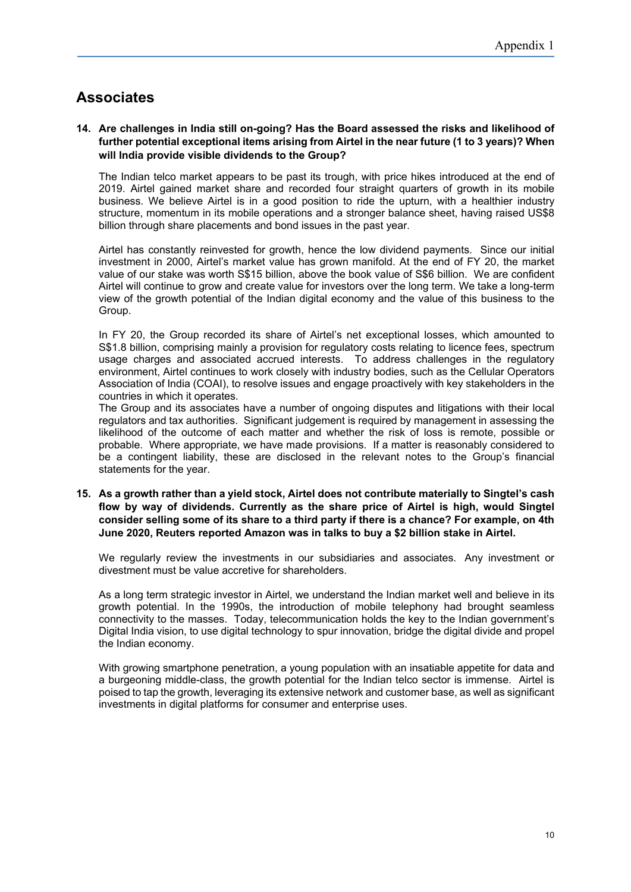# **Associates**

### **14. Are challenges in India still on-going? Has the Board assessed the risks and likelihood of further potential exceptional items arising from Airtel in the near future (1 to 3 years)? When will India provide visible dividends to the Group?**

The Indian telco market appears to be past its trough, with price hikes introduced at the end of 2019. Airtel gained market share and recorded four straight quarters of growth in its mobile business. We believe Airtel is in a good position to ride the upturn, with a healthier industry structure, momentum in its mobile operations and a stronger balance sheet, having raised US\$8 billion through share placements and bond issues in the past year.

Airtel has constantly reinvested for growth, hence the low dividend payments. Since our initial investment in 2000, Airtel's market value has grown manifold. At the end of FY 20, the market value of our stake was worth S\$15 billion, above the book value of S\$6 billion. We are confident Airtel will continue to grow and create value for investors over the long term. We take a long-term view of the growth potential of the Indian digital economy and the value of this business to the Group.

In FY 20, the Group recorded its share of Airtel's net exceptional losses, which amounted to S\$1.8 billion, comprising mainly a provision for regulatory costs relating to licence fees, spectrum usage charges and associated accrued interests. To address challenges in the regulatory environment, Airtel continues to work closely with industry bodies, such as the Cellular Operators Association of India (COAI), to resolve issues and engage proactively with key stakeholders in the countries in which it operates.

The Group and its associates have a number of ongoing disputes and litigations with their local regulators and tax authorities. Significant judgement is required by management in assessing the likelihood of the outcome of each matter and whether the risk of loss is remote, possible or probable. Where appropriate, we have made provisions. If a matter is reasonably considered to be a contingent liability, these are disclosed in the relevant notes to the Group's financial statements for the year.

### **15. As a growth rather than a yield stock, Airtel does not contribute materially to Singtel's cash flow by way of dividends. Currently as the share price of Airtel is high, would Singtel consider selling some of its share to a third party if there is a chance? For example, on 4th June 2020, Reuters reported Amazon was in talks to buy a \$2 billion stake in Airtel.**

We regularly review the investments in our subsidiaries and associates. Any investment or divestment must be value accretive for shareholders.

As a long term strategic investor in Airtel, we understand the Indian market well and believe in its growth potential. In the 1990s, the introduction of mobile telephony had brought seamless connectivity to the masses. Today, telecommunication holds the key to the Indian government's Digital India vision, to use digital technology to spur innovation, bridge the digital divide and propel the Indian economy.

With growing smartphone penetration, a young population with an insatiable appetite for data and a burgeoning middle-class, the growth potential for the Indian telco sector is immense. Airtel is poised to tap the growth, leveraging its extensive network and customer base, as well as significant investments in digital platforms for consumer and enterprise uses.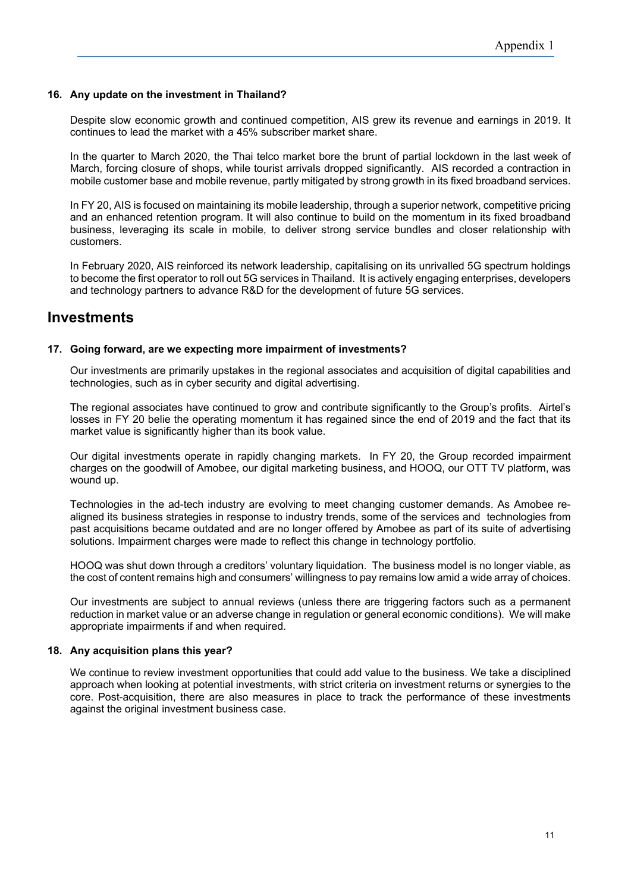### **16. Any update on the investment in Thailand?**

Despite slow economic growth and continued competition, AIS grew its revenue and earnings in 2019. It continues to lead the market with a 45% subscriber market share.

In the quarter to March 2020, the Thai telco market bore the brunt of partial lockdown in the last week of March, forcing closure of shops, while tourist arrivals dropped significantly. AIS recorded a contraction in mobile customer base and mobile revenue, partly mitigated by strong growth in its fixed broadband services.

In FY 20, AIS is focused on maintaining its mobile leadership, through a superior network, competitive pricing and an enhanced retention program. It will also continue to build on the momentum in its fixed broadband business, leveraging its scale in mobile, to deliver strong service bundles and closer relationship with customers.

In February 2020, AIS reinforced its network leadership, capitalising on its unrivalled 5G spectrum holdings to become the first operator to roll out 5G services in Thailand. It is actively engaging enterprises, developers and technology partners to advance R&D for the development of future 5G services.

# **Investments**

### **17. Going forward, are we expecting more impairment of investments?**

Our investments are primarily upstakes in the regional associates and acquisition of digital capabilities and technologies, such as in cyber security and digital advertising.

The regional associates have continued to grow and contribute significantly to the Group's profits. Airtel's losses in FY 20 belie the operating momentum it has regained since the end of 2019 and the fact that its market value is significantly higher than its book value.

Our digital investments operate in rapidly changing markets. In FY 20, the Group recorded impairment charges on the goodwill of Amobee, our digital marketing business, and HOOQ, our OTT TV platform, was wound up.

Technologies in the ad-tech industry are evolving to meet changing customer demands. As Amobee realigned its business strategies in response to industry trends, some of the services and technologies from past acquisitions became outdated and are no longer offered by Amobee as part of its suite of advertising solutions. Impairment charges were made to reflect this change in technology portfolio.

HOOQ was shut down through a creditors' voluntary liquidation. The business model is no longer viable, as the cost of content remains high and consumers' willingness to pay remains low amid a wide array of choices.

Our investments are subject to annual reviews (unless there are triggering factors such as a permanent reduction in market value or an adverse change in regulation or general economic conditions). We will make appropriate impairments if and when required.

### **18. Any acquisition plans this year?**

We continue to review investment opportunities that could add value to the business. We take a disciplined approach when looking at potential investments, with strict criteria on investment returns or synergies to the core. Post-acquisition, there are also measures in place to track the performance of these investments against the original investment business case.